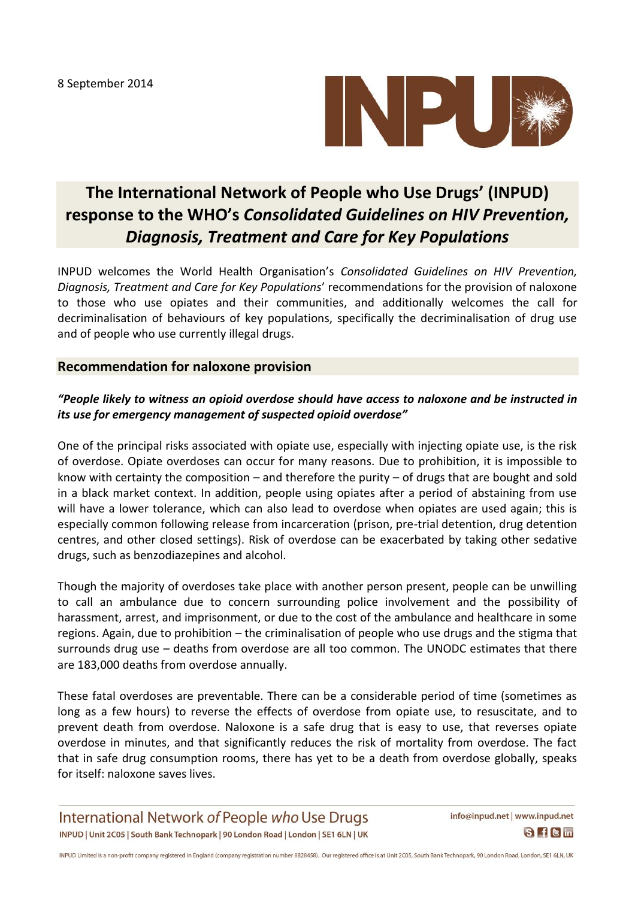8 September 2014



# **The International Network of People who Use Drugs' (INPUD) response to the WHO's** *Consolidated Guidelines on HIV Prevention, Diagnosis, Treatment and Care for Key Populations*

INPUD welcomes the World Health Organisation's *Consolidated Guidelines on HIV Prevention, Diagnosis, Treatment and Care for Key Populations*' recommendations for the provision of naloxone to those who use opiates and their communities, and additionally welcomes the call for decriminalisation of behaviours of key populations, specifically the decriminalisation of drug use and of people who use currently illegal drugs.

### **Recommendation for naloxone provision**

## *"People likely to witness an opioid overdose should have access to naloxone and be instructed in its use for emergency management of suspected opioid overdose"*

One of the principal risks associated with opiate use, especially with injecting opiate use, is the risk of overdose. Opiate overdoses can occur for many reasons. Due to prohibition, it is impossible to know with certainty the composition – and therefore the purity – of drugs that are bought and sold in a black market context. In addition, people using opiates after a period of abstaining from use will have a lower tolerance, which can also lead to overdose when opiates are used again; this is especially common following release from incarceration (prison, pre-trial detention, drug detention centres, and other closed settings). Risk of overdose can be exacerbated by taking other sedative drugs, such as benzodiazepines and alcohol.

Though the majority of overdoses take place with another person present, people can be unwilling to call an ambulance due to concern surrounding police involvement and the possibility of harassment, arrest, and imprisonment, or due to the cost of the ambulance and healthcare in some regions. Again, due to prohibition – the criminalisation of people who use drugs and the stigma that surrounds drug use – deaths from overdose are all too common. The UNODC estimates that there are 183,000 deaths from overdose annually.

These fatal overdoses are preventable. There can be a considerable period of time (sometimes as long as a few hours) to reverse the effects of overdose from opiate use, to resuscitate, and to prevent death from overdose. Naloxone is a safe drug that is easy to use, that reverses opiate overdose in minutes, and that significantly reduces the risk of mortality from overdose. The fact that in safe drug consumption rooms, there has yet to be a death from overdose globally, speaks for itself: naloxone saves lives.

International Network of People who Use Drugs INPUD | Unit 2C05 | South Bank Technopark | 90 London Road | London | SE1 6LN | UK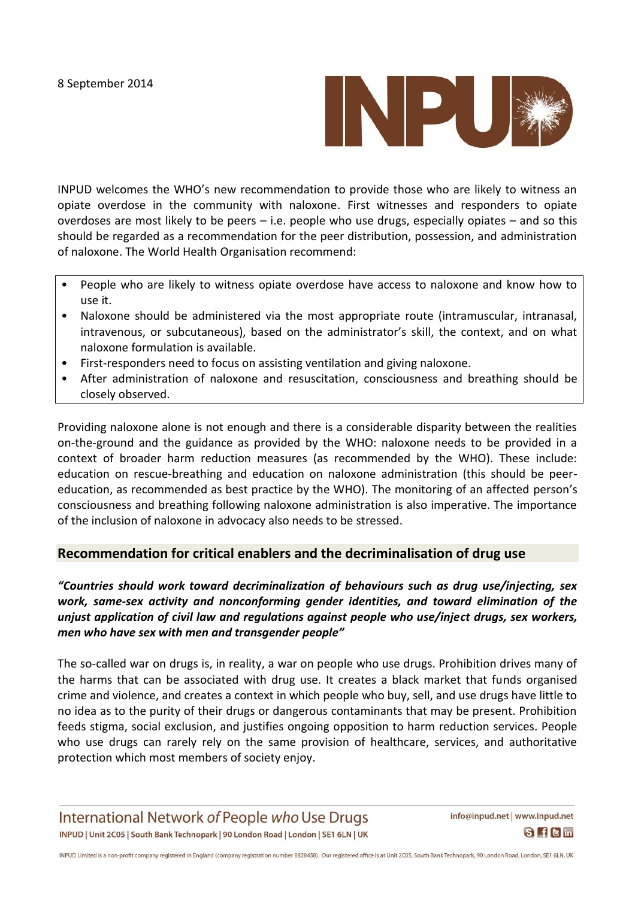

INPUD welcomes the WHO's new recommendation to provide those who are likely to witness an opiate overdose in the community with naloxone. First witnesses and responders to opiate overdoses are most likely to be peers – i.e. people who use drugs, especially opiates – and so this should be regarded as a recommendation for the peer distribution, possession, and administration of naloxone. The World Health Organisation recommend:

- People who are likely to witness opiate overdose have access to naloxone and know how to use it.
- Naloxone should be administered via the most appropriate route (intramuscular, intranasal, intravenous, or subcutaneous), based on the administrator's skill, the context, and on what naloxone formulation is available.
- First-responders need to focus on assisting ventilation and giving naloxone.
- After administration of naloxone and resuscitation, consciousness and breathing should be closely observed.

Providing naloxone alone is not enough and there is a considerable disparity between the realities on-the-ground and the guidance as provided by the WHO: naloxone needs to be provided in a context of broader harm reduction measures (as recommended by the WHO). These include: education on rescue-breathing and education on naloxone administration (this should be peereducation, as recommended as best practice by the WHO). The monitoring of an affected person's consciousness and breathing following naloxone administration is also imperative. The importance of the inclusion of naloxone in advocacy also needs to be stressed.

## **Recommendation for critical enablers and the decriminalisation of drug use**

*"Countries should work toward decriminalization of behaviours such as drug use/injecting, sex work, same-sex activity and nonconforming gender identities, and toward elimination of the unjust application of civil law and regulations against people who use/inject drugs, sex workers, men who have sex with men and transgender people"*

The so-called war on drugs is, in reality, a war on people who use drugs. Prohibition drives many of the harms that can be associated with drug use. It creates a black market that funds organised crime and violence, and creates a context in which people who buy, sell, and use drugs have little to no idea as to the purity of their drugs or dangerous contaminants that may be present. Prohibition feeds stigma, social exclusion, and justifies ongoing opposition to harm reduction services. People who use drugs can rarely rely on the same provision of healthcare, services, and authoritative protection which most members of society enjoy.

International Network of People who Use Drugs INPUD | Unit 2C05 | South Bank Technopark | 90 London Road | London | SE1 6LN | UK

INPUD Limited is a non-profit company registered in England (company registration number 8828458). Our registered office is at Unit 2C05, South Bank Technopark, 90 London Road, London, SE1 6LN, UK